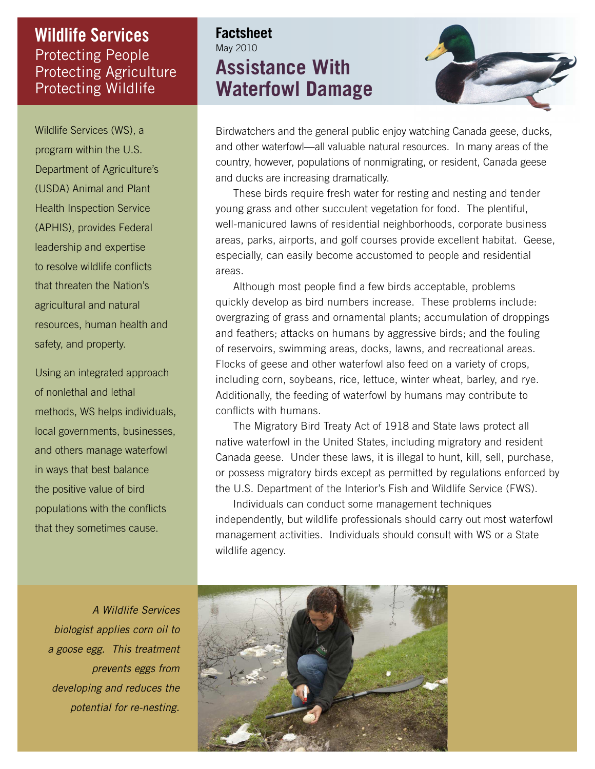## Protecting People Protecting Agriculture Protecting Wildlife **Wildlife Services**

Wildlife Services (WS), a program within the U.S. Department of Agriculture's (USDA) Animal and Plant Health Inspection Service (APHIS), provides Federal leadership and expertise to resolve wildlife conflicts that threaten the Nation's agricultural and natural resources, human health and safety, and property.

Using an integrated approach of nonlethal and lethal methods, WS helps individuals, local governments, businesses, and others manage waterfowl in ways that best balance the positive value of bird populations with the conflicts that they sometimes cause.

# **Factsheet** May 2010 **Assistance With Waterfowl Damage**



Birdwatchers and the general public enjoy watching Canada geese, ducks, and other waterfowl—all valuable natural resources. In many areas of the country, however, populations of nonmigrating, or resident, Canada geese and ducks are increasing dramatically.

These birds require fresh water for resting and nesting and tender young grass and other succulent vegetation for food. The plentiful, well-manicured lawns of residential neighborhoods, corporate business areas, parks, airports, and golf courses provide excellent habitat. Geese, especially, can easily become accustomed to people and residential areas.

Although most people find a few birds acceptable, problems quickly develop as bird numbers increase. These problems include: overgrazing of grass and ornamental plants; accumulation of droppings and feathers; attacks on humans by aggressive birds; and the fouling of reservoirs, swimming areas, docks, lawns, and recreational areas. Flocks of geese and other waterfowl also feed on a variety of crops, including corn, soybeans, rice, lettuce, winter wheat, barley, and rye. Additionally, the feeding of waterfowl by humans may contribute to conflicts with humans.

The Migratory Bird Treaty Act of 1918 and State laws protect all native waterfowl in the United States, including migratory and resident Canada geese. Under these laws, it is illegal to hunt, kill, sell, purchase, or possess migratory birds except as permitted by regulations enforced by the U.S. Department of the Interior's Fish and Wildlife Service (FWS).

Individuals can conduct some management techniques independently, but wildlife professionals should carry out most waterfowl management activities. Individuals should consult with WS or a State wildlife agency.

A Wildlife Services biologist applies corn oil to a goose egg. This treatment prevents eggs from developing and reduces the potential for re-nesting.

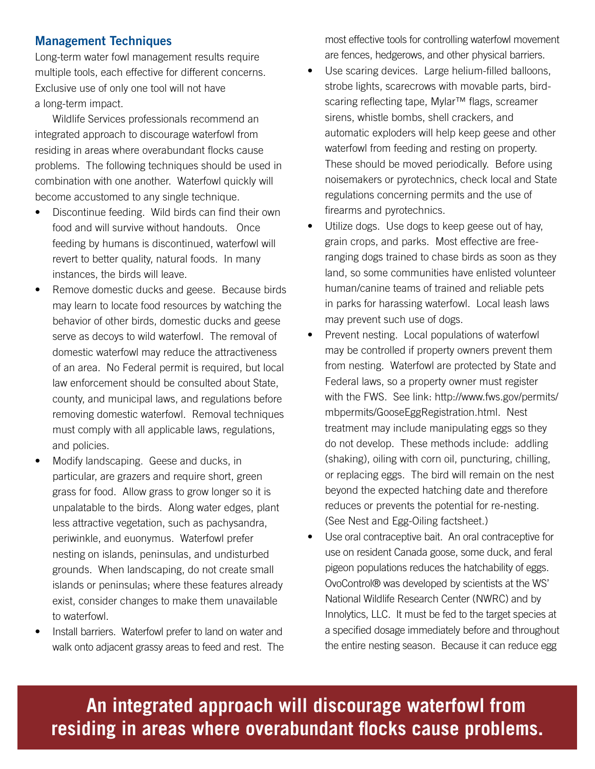## **Management Techniques**

Long-term water fowl management results require multiple tools, each effective for different concerns. Exclusive use of only one tool will not have a long-term impact.

Wildlife Services professionals recommend an integrated approach to discourage waterfowl from residing in areas where overabundant flocks cause problems. The following techniques should be used in combination with one another. Waterfowl quickly will become accustomed to any single technique.

- Discontinue feeding. Wild birds can find their own food and will survive without handouts. Once feeding by humans is discontinued, waterfowl will revert to better quality, natural foods. In many instances, the birds will leave.
- Remove domestic ducks and geese. Because birds may learn to locate food resources by watching the behavior of other birds, domestic ducks and geese serve as decoys to wild waterfowl. The removal of domestic waterfowl may reduce the attractiveness of an area. No Federal permit is required, but local law enforcement should be consulted about State, county, and municipal laws, and regulations before removing domestic waterfowl. Removal techniques must comply with all applicable laws, regulations, and policies.
- Modify landscaping. Geese and ducks, in particular, are grazers and require short, green grass for food. Allow grass to grow longer so it is unpalatable to the birds. Along water edges, plant less attractive vegetation, such as pachysandra, periwinkle, and euonymus. Waterfowl prefer nesting on islands, peninsulas, and undisturbed grounds. When landscaping, do not create small islands or peninsulas; where these features already exist, consider changes to make them unavailable to waterfowl.
- Install barriers. Waterfowl prefer to land on water and walk onto adjacent grassy areas to feed and rest. The

most effective tools for controlling waterfowl movement are fences, hedgerows, and other physical barriers.

- Use scaring devices. Large helium-filled balloons, strobe lights, scarecrows with movable parts, birdscaring reflecting tape, Mylar™ flags, screamer sirens, whistle bombs, shell crackers, and automatic exploders will help keep geese and other waterfowl from feeding and resting on property. These should be moved periodically. Before using noisemakers or pyrotechnics, check local and State regulations concerning permits and the use of firearms and pyrotechnics.
- Utilize dogs. Use dogs to keep geese out of hay, grain crops, and parks. Most effective are freeranging dogs trained to chase birds as soon as they land, so some communities have enlisted volunteer human/canine teams of trained and reliable pets in parks for harassing waterfowl. Local leash laws may prevent such use of dogs.
- Prevent nesting. Local populations of waterfowl may be controlled if property owners prevent them from nesting. Waterfowl are protected by State and Federal laws, so a property owner must register with the FWS. See link: http://www.fws.gov/permits/ mbpermits/GooseEggRegistration.html. Nest treatment may include manipulating eggs so they do not develop. These methods include: addling (shaking), oiling with corn oil, puncturing, chilling, or replacing eggs. The bird will remain on the nest beyond the expected hatching date and therefore reduces or prevents the potential for re-nesting. (See Nest and Egg-Oiling factsheet.)
- Use oral contraceptive bait. An oral contraceptive for use on resident Canada goose, some duck, and feral pigeon populations reduces the hatchability of eggs. OvoControl® was developed by scientists at the WS' National Wildlife Research Center (NWRC) and by Innolytics, LLC. It must be fed to the target species at a specified dosage immediately before and throughout the entire nesting season. Because it can reduce egg

**An integrated approach will discourage waterfowl from**  residing in areas where overabundant flocks cause problems.